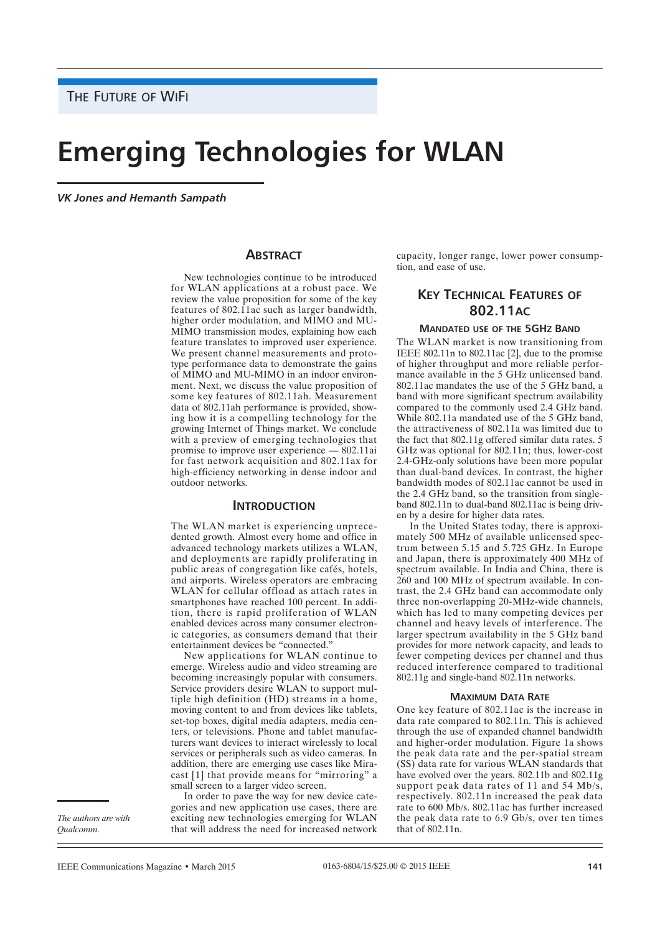# **Emerging Technologies for WLAN**

*VK Jones and Hemanth Sampath*

# **ABSTRACT**

New technologies continue to be introduced for WLAN applications at a robust pace. We review the value proposition for some of the key features of 802.11ac such as larger bandwidth, higher order modulation, and MIMO and MU-MIMO transmission modes, explaining how each feature translates to improved user experience. We present channel measurements and prototype performance data to demonstrate the gains of MIMO and MU-MIMO in an indoor environment. Next, we discuss the value proposition of some key features of 802.11ah. Measurement data of 802.11ah performance is provided, showing how it is a compelling technology for the growing Internet of Things market. We conclude with a preview of emerging technologies that promise to improve user experience — 802.11ai for fast network acquisition and 802.11ax for high-efficiency networking in dense indoor and outdoor networks.

# **INTRODUCTION**

The WLAN market is experiencing unprecedented growth. Almost every home and office in advanced technology markets utilizes a WLAN, and deployments are rapidly proliferating in public areas of congregation like cafés, hotels, and airports. Wireless operators are embracing WLAN for cellular offload as attach rates in smartphones have reached 100 percent. In addition, there is rapid proliferation of WLAN enabled devices across many consumer electronic categories, as consumers demand that their entertainment devices be "connected."

New applications for WLAN continue to emerge. Wireless audio and video streaming are becoming increasingly popular with consumers. Service providers desire WLAN to support multiple high definition (HD) streams in a home, moving content to and from devices like tablets, set-top boxes, digital media adapters, media centers, or televisions. Phone and tablet manufacturers want devices to interact wirelessly to local services or peripherals such as video cameras. In addition, there are emerging use cases like Miracast [1] that provide means for "mirroring" a small screen to a larger video screen.

In order to pave the way for new device categories and new application use cases, there are exciting new technologies emerging for WLAN that will address the need for increased network capacity, longer range, lower power consumption, and ease of use.

# **KEY TECHNICAL FEATURES OF 802.11AC**

#### **MANDATED USE OF THE 5GHZ BAND**

The WLAN market is now transitioning from IEEE 802.11n to 802.11ac [2], due to the promise of higher throughput and more reliable performance available in the 5 GHz unlicensed band. 802.11ac mandates the use of the 5 GHz band, a band with more significant spectrum availability compared to the commonly used 2.4 GHz band. While 802.11a mandated use of the 5 GHz band, the attractiveness of 802.11a was limited due to the fact that 802.11g offered similar data rates. 5 GHz was optional for 802.11n; thus, lower-cost 2.4-GHz-only solutions have been more popular than dual-band devices. In contrast, the higher bandwidth modes of 802.11ac cannot be used in the 2.4 GHz band, so the transition from singleband 802.11n to dual-band 802.11ac is being driven by a desire for higher data rates.

In the United States today, there is approximately 500 MHz of available unlicensed spectrum between 5.15 and 5.725 GHz. In Europe and Japan, there is approximately 400 MHz of spectrum available. In India and China, there is 260 and 100 MHz of spectrum available. In contrast, the 2.4 GHz band can accommodate only three non-overlapping 20-MHz-wide channels, which has led to many competing devices per channel and heavy levels of interference. The larger spectrum availability in the 5 GHz band provides for more network capacity, and leads to fewer competing devices per channel and thus reduced interference compared to traditional 802.11g and single-band 802.11n networks.

#### **MAXIMUM DATA RATE**

One key feature of 802.11ac is the increase in data rate compared to 802.11n. This is achieved through the use of expanded channel bandwidth and higher-order modulation. Figure 1a shows the peak data rate and the per-spatial stream (SS) data rate for various WLAN standards that have evolved over the years. 802.11b and 802.11g support peak data rates of 11 and 54 Mb/s, respectively. 802.11n increased the peak data rate to 600 Mb/s. 802.11ac has further increased the peak data rate to 6.9 Gb/s, over ten times that of 802.11n.

*The authors are with Qualcomm.*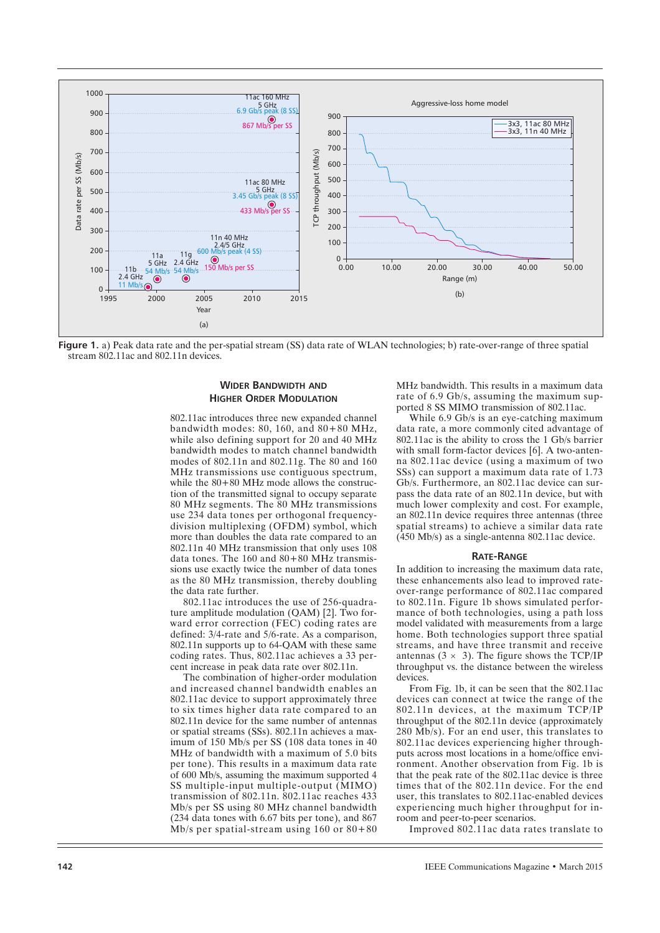

**Figure 1.** a) Peak data rate and the per-spatial stream (SS) data rate of WLAN technologies; b) rate-over-range of three spatial stream 802.11ac and 802.11n devices.

# **WIDER BANDWIDTH AND HIGHER ORDER MODULATION**

802.11ac introduces three new expanded channel bandwidth modes: 80, 160, and 80+80 MHz, while also defining support for 20 and 40 MHz bandwidth modes to match channel bandwidth modes of 802.11n and 802.11g. The 80 and 160 MHz transmissions use contiguous spectrum, while the  $80+80$  MHz mode allows the construction of the transmitted signal to occupy separate 80 MHz segments. The 80 MHz transmissions use 234 data tones per orthogonal frequencydivision multiplexing (OFDM) symbol, which more than doubles the data rate compared to an 802.11n 40 MHz transmission that only uses 108 data tones. The  $160$  and  $80+80$  MHz transmissions use exactly twice the number of data tones as the 80 MHz transmission, thereby doubling the data rate further.

802.11ac introduces the use of 256-quadrature amplitude modulation (QAM) [2]. Two forward error correction (FEC) coding rates are defined: 3/4-rate and 5/6-rate. As a comparison, 802.11n supports up to 64-QAM with these same coding rates. Thus, 802.11ac achieves a 33 percent increase in peak data rate over 802.11n.

The combination of higher-order modulation and increased channel bandwidth enables an 802.11ac device to support approximately three to six times higher data rate compared to an 802.11n device for the same number of antennas or spatial streams (SSs). 802.11n achieves a maximum of 150 Mb/s per SS (108 data tones in 40 MHz of bandwidth with a maximum of 5.0 bits per tone). This results in a maximum data rate of 600 Mb/s, assuming the maximum supported 4 SS multiple-input multiple-output (MIMO) transmission of 802.11n. 802.11ac reaches 433 Mb/s per SS using 80 MHz channel bandwidth (234 data tones with 6.67 bits per tone), and 867 Mb/s per spatial-stream using 160 or 80+80 MHz bandwidth. This results in a maximum data rate of 6.9 Gb/s, assuming the maximum supported 8 SS MIMO transmission of 802.11ac.

While 6.9 Gb/s is an eye-catching maximum data rate, a more commonly cited advantage of 802.11ac is the ability to cross the 1 Gb/s barrier with small form-factor devices [6]. A two-antenna 802.11ac device (using a maximum of two SSs) can support a maximum data rate of 1.73 Gb/s. Furthermore, an 802.11ac device can surpass the data rate of an 802.11n device, but with much lower complexity and cost. For example, an 802.11n device requires three antennas (three spatial streams) to achieve a similar data rate (450 Mb/s) as a single-antenna 802.11ac device.

#### **RATE-RANGE**

In addition to increasing the maximum data rate, these enhancements also lead to improved rateover-range performance of 802.11ac compared to 802.11n. Figure 1b shows simulated performance of both technologies, using a path loss model validated with measurements from a large home. Both technologies support three spatial streams, and have three transmit and receive antennas  $(3 \times 3)$ . The figure shows the TCP/IP throughput vs. the distance between the wireless devices.

From Fig. 1b, it can be seen that the 802.11ac devices can connect at twice the range of the 802.11n devices, at the maximum TCP/IP throughput of the 802.11n device (approximately 280 Mb/s). For an end user, this translates to 802.11ac devices experiencing higher throughputs across most locations in a home/office environment. Another observation from Fig. 1b is that the peak rate of the 802.11ac device is three times that of the 802.11n device. For the end user, this translates to 802.11ac-enabled devices experiencing much higher throughput for inroom and peer-to-peer scenarios.

Improved 802.11ac data rates translate to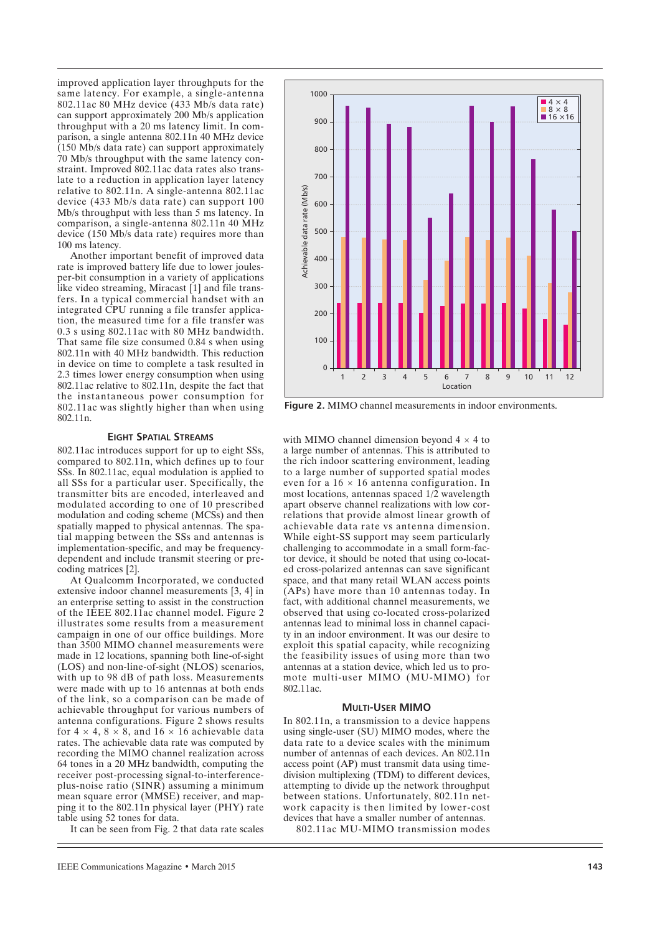improved application layer throughputs for the same latency. For example, a single-antenna 802.11ac 80 MHz device (433 Mb/s data rate) can support approximately 200 Mb/s application throughput with a 20 ms latency limit. In comparison, a single antenna 802.11n 40 MHz device (150 Mb/s data rate) can support approximately 70 Mb/s throughput with the same latency constraint. Improved 802.11ac data rates also translate to a reduction in application layer latency relative to 802.11n. A single-antenna 802.11ac device (433 Mb/s data rate) can support 100 Mb/s throughput with less than 5 ms latency. In comparison, a single-antenna 802.11n 40 MHz device (150 Mb/s data rate) requires more than 100 ms latency.

Another important benefit of improved data rate is improved battery life due to lower joulesper-bit consumption in a variety of applications like video streaming, Miracast [1] and file transfers. In a typical commercial handset with an integrated CPU running a file transfer application, the measured time for a file transfer was 0.3 s using 802.11ac with 80 MHz bandwidth. That same file size consumed 0.84 s when using 802.11n with 40 MHz bandwidth. This reduction in device on time to complete a task resulted in 2.3 times lower energy consumption when using 802.11ac relative to 802.11n, despite the fact that the instantaneous power consumption for 802.11ac was slightly higher than when using 802.11n.

#### **EIGHT SPATIAL STREAMS**

802.11ac introduces support for up to eight SSs, compared to 802.11n, which defines up to four SSs. In 802.11ac, equal modulation is applied to all SSs for a particular user. Specifically, the transmitter bits are encoded, interleaved and modulated according to one of 10 prescribed modulation and coding scheme (MCSs) and then spatially mapped to physical antennas. The spatial mapping between the SSs and antennas is implementation-specific, and may be frequencydependent and include transmit steering or precoding matrices [2].

At Qualcomm Incorporated, we conducted extensive indoor channel measurements [3, 4] in an enterprise setting to assist in the construction of the IEEE 802.11ac channel model. Figure 2 illustrates some results from a measurement campaign in one of our office buildings. More than 3500 MIMO channel measurements were made in 12 locations, spanning both line-of-sight (LOS) and non-line-of-sight (NLOS) scenarios, with up to 98 dB of path loss. Measurements were made with up to 16 antennas at both ends of the link, so a comparison can be made of achievable throughput for various numbers of antenna configurations. Figure 2 shows results for  $4 \times 4$ ,  $8 \times 8$ , and  $16 \times 16$  achievable data rates. The achievable data rate was computed by recording the MIMO channel realization across 64 tones in a 20 MHz bandwidth, computing the receiver post-processing signal-to-interferenceplus-noise ratio (SINR) assuming a minimum mean square error (MMSE) receiver, and mapping it to the 802.11n physical layer (PHY) rate table using 52 tones for data.

It can be seen from Fig. 2 that data rate scales



**Figure 2.** MIMO channel measurements in indoor environments.

with MIMO channel dimension beyond  $4 \times 4$  to a large number of antennas. This is attributed to the rich indoor scattering environment, leading to a large number of supported spatial modes even for a  $16 \times 16$  antenna configuration. In most locations, antennas spaced 1/2 wavelength apart observe channel realizations with low correlations that provide almost linear growth of achievable data rate vs antenna dimension. While eight-SS support may seem particularly challenging to accommodate in a small form-factor device, it should be noted that using co-located cross-polarized antennas can save significant space, and that many retail WLAN access points (APs) have more than 10 antennas today. In fact, with additional channel measurements, we observed that using co-located cross-polarized antennas lead to minimal loss in channel capacity in an indoor environment. It was our desire to exploit this spatial capacity, while recognizing the feasibility issues of using more than two antennas at a station device, which led us to promote multi-user MIMO (MU-MIMO) for 802.11ac.

#### **MULTI-USER MIMO**

In 802.11n, a transmission to a device happens using single-user (SU) MIMO modes, where the data rate to a device scales with the minimum number of antennas of each devices. An 802.11n access point (AP) must transmit data using timedivision multiplexing (TDM) to different devices, attempting to divide up the network throughput between stations. Unfortunately, 802.11n network capacity is then limited by lower-cost devices that have a smaller number of antennas.

802.11ac MU-MIMO transmission modes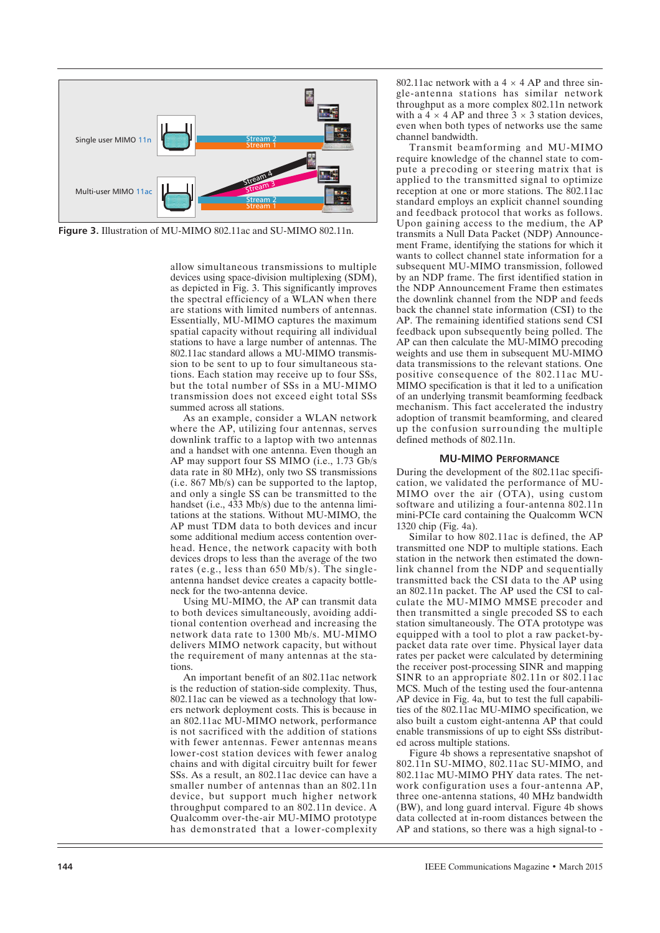

**Figure 3.** Illustration of MU-MIMO 802.11ac and SU-MIMO 802.11n.

allow simultaneous transmissions to multiple devices using space-division multiplexing (SDM), as depicted in Fig. 3. This significantly improves the spectral efficiency of a WLAN when there are stations with limited numbers of antennas. Essentially, MU-MIMO captures the maximum spatial capacity without requiring all individual stations to have a large number of antennas. The 802.11ac standard allows a MU-MIMO transmission to be sent to up to four simultaneous stations. Each station may receive up to four SSs, but the total number of SSs in a MU-MIMO transmission does not exceed eight total SSs summed across all stations.

As an example, consider a WLAN network where the AP, utilizing four antennas, serves downlink traffic to a laptop with two antennas and a handset with one antenna. Even though an AP may support four SS MIMO (i.e., 1.73 Gb/s data rate in 80 MHz), only two SS transmissions (i.e. 867 Mb/s) can be supported to the laptop, and only a single SS can be transmitted to the handset (i.e., 433 Mb/s) due to the antenna limitations at the stations. Without MU-MIMO, the AP must TDM data to both devices and incur some additional medium access contention overhead. Hence, the network capacity with both devices drops to less than the average of the two rates (e.g., less than 650 Mb/s). The singleantenna handset device creates a capacity bottleneck for the two-antenna device.

Using MU-MIMO, the AP can transmit data to both devices simultaneously, avoiding additional contention overhead and increasing the network data rate to 1300 Mb/s. MU-MIMO delivers MIMO network capacity, but without the requirement of many antennas at the stations.

An important benefit of an 802.11ac network is the reduction of station-side complexity. Thus, 802.11ac can be viewed as a technology that lowers network deployment costs. This is because in an 802.11ac MU-MIMO network, performance is not sacrificed with the addition of stations with fewer antennas. Fewer antennas means lower-cost station devices with fewer analog chains and with digital circuitry built for fewer SSs. As a result, an 802.11ac device can have a smaller number of antennas than an 802.11n device, but support much higher network throughput compared to an 802.11n device. A Qualcomm over-the-air MU-MIMO prototype has demonstrated that a lower-complexity 802.11ac network with a  $4 \times 4$  AP and three single-antenna stations has similar network throughput as a more complex 802.11n network with a  $4 \times 4$  AP and three  $3 \times 3$  station devices, even when both types of networks use the same channel bandwidth.

Transmit beamforming and MU-MIMO require knowledge of the channel state to compute a precoding or steering matrix that is applied to the transmitted signal to optimize reception at one or more stations. The 802.11ac standard employs an explicit channel sounding and feedback protocol that works as follows. Upon gaining access to the medium, the AP transmits a Null Data Packet (NDP) Announcement Frame, identifying the stations for which it wants to collect channel state information for a subsequent MU-MIMO transmission, followed by an NDP frame. The first identified station in the NDP Announcement Frame then estimates the downlink channel from the NDP and feeds back the channel state information (CSI) to the AP. The remaining identified stations send CSI feedback upon subsequently being polled. The AP can then calculate the MU-MIMO precoding weights and use them in subsequent MU-MIMO data transmissions to the relevant stations. One positive consequence of the 802.11ac MU-MIMO specification is that it led to a unification of an underlying transmit beamforming feedback mechanism. This fact accelerated the industry adoption of transmit beamforming, and cleared up the confusion surrounding the multiple defined methods of 802.11n.

#### **MU-MIMO PERFORMANCE**

During the development of the 802.11ac specification, we validated the performance of MU-MIMO over the air (OTA), using custom software and utilizing a four-antenna 802.11n mini-PCIe card containing the Qualcomm WCN 1320 chip (Fig. 4a).

Similar to how 802.11ac is defined, the AP transmitted one NDP to multiple stations. Each station in the network then estimated the downlink channel from the NDP and sequentially transmitted back the CSI data to the AP using an 802.11n packet. The AP used the CSI to calculate the MU-MIMO MMSE precoder and then transmitted a single precoded SS to each station simultaneously. The OTA prototype was equipped with a tool to plot a raw packet-bypacket data rate over time. Physical layer data rates per packet were calculated by determining the receiver post-processing SINR and mapping SINR to an appropriate 802.11n or 802.11ac MCS. Much of the testing used the four-antenna AP device in Fig. 4a, but to test the full capabilities of the 802.11ac MU-MIMO specification, we also built a custom eight-antenna AP that could enable transmissions of up to eight SSs distributed across multiple stations.

Figure 4b shows a representative snapshot of 802.11n SU-MIMO, 802.11ac SU-MIMO, and 802.11ac MU-MIMO PHY data rates. The network configuration uses a four-antenna AP, three one-antenna stations, 40 MHz bandwidth (BW), and long guard interval. Figure 4b shows data collected at in-room distances between the AP and stations, so there was a high signal-to -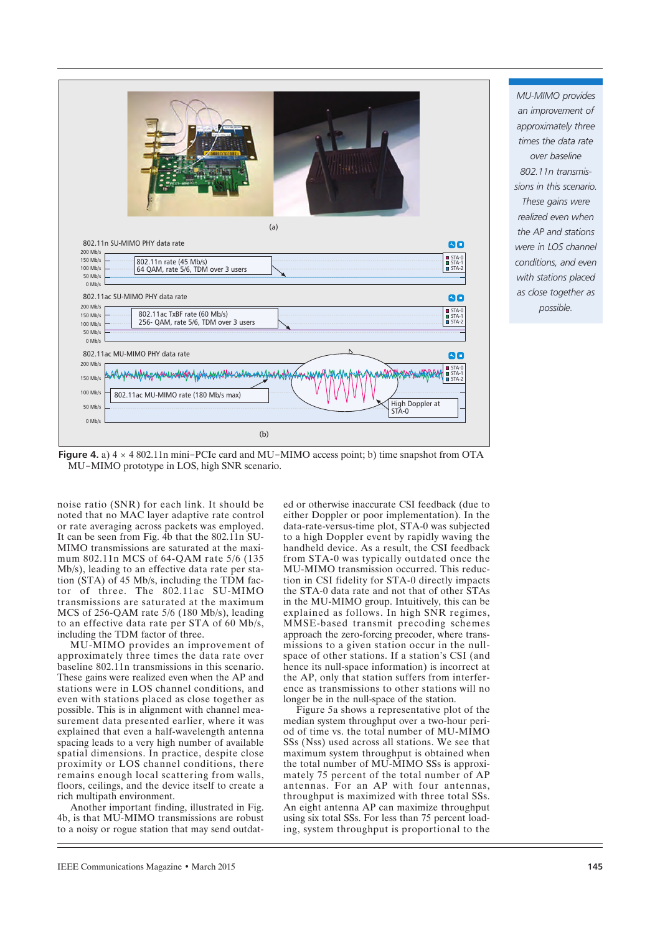

*MU-MIMO provides an improvement of approximately three times the data rate over baseline 802.11n transmissions in this scenario. These gains were realized even when the AP and stations were in LOS channel conditions, and even with stations placed as close together as possible.*

**Figure 4.** a) 4 × 4 802.11n mini-PCIe card and MU-MIMO access point; b) time snapshot from OTA MU-MIMO prototype in LOS, high SNR scenario.

noise ratio (SNR) for each link. It should be noted that no MAC layer adaptive rate control or rate averaging across packets was employed. It can be seen from Fig. 4b that the 802.11n SU-MIMO transmissions are saturated at the maximum 802.11n MCS of 64-QAM rate 5/6 (135 Mb/s), leading to an effective data rate per station (STA) of 45 Mb/s, including the TDM factor of three. The 802.11ac SU-MIMO transmissions are saturated at the maximum MCS of 256-QAM rate 5/6 (180 Mb/s), leading to an effective data rate per STA of 60 Mb/s, including the TDM factor of three.

MU-MIMO provides an improvement of approximately three times the data rate over baseline 802.11n transmissions in this scenario. These gains were realized even when the AP and stations were in LOS channel conditions, and even with stations placed as close together as possible. This is in alignment with channel measurement data presented earlier, where it was explained that even a half-wavelength antenna spacing leads to a very high number of available spatial dimensions. In practice, despite close proximity or LOS channel conditions, there remains enough local scattering from walls, floors, ceilings, and the device itself to create a rich multipath environment.

Another important finding, illustrated in Fig. 4b, is that MU-MIMO transmissions are robust to a noisy or rogue station that may send outdat-

ed or otherwise inaccurate CSI feedback (due to either Doppler or poor implementation). In the data-rate-versus-time plot, STA-0 was subjected to a high Doppler event by rapidly waving the handheld device. As a result, the CSI feedback from STA-0 was typically outdated once the MU-MIMO transmission occurred. This reduction in CSI fidelity for STA-0 directly impacts the STA-0 data rate and not that of other STAs in the MU-MIMO group. Intuitively, this can be explained as follows. In high SNR regimes, MMSE-based transmit precoding schemes approach the zero-forcing precoder, where transmissions to a given station occur in the nullspace of other stations. If a station's CSI (and hence its null-space information) is incorrect at the AP, only that station suffers from interference as transmissions to other stations will no longer be in the null-space of the station.

Figure 5a shows a representative plot of the median system throughput over a two-hour period of time vs. the total number of MU-MIMO SSs (Nss) used across all stations. We see that maximum system throughput is obtained when the total number of MU-MIMO SSs is approximately 75 percent of the total number of AP antennas. For an AP with four antennas, throughput is maximized with three total SSs. An eight antenna AP can maximize throughput using six total SSs. For less than 75 percent loading, system throughput is proportional to the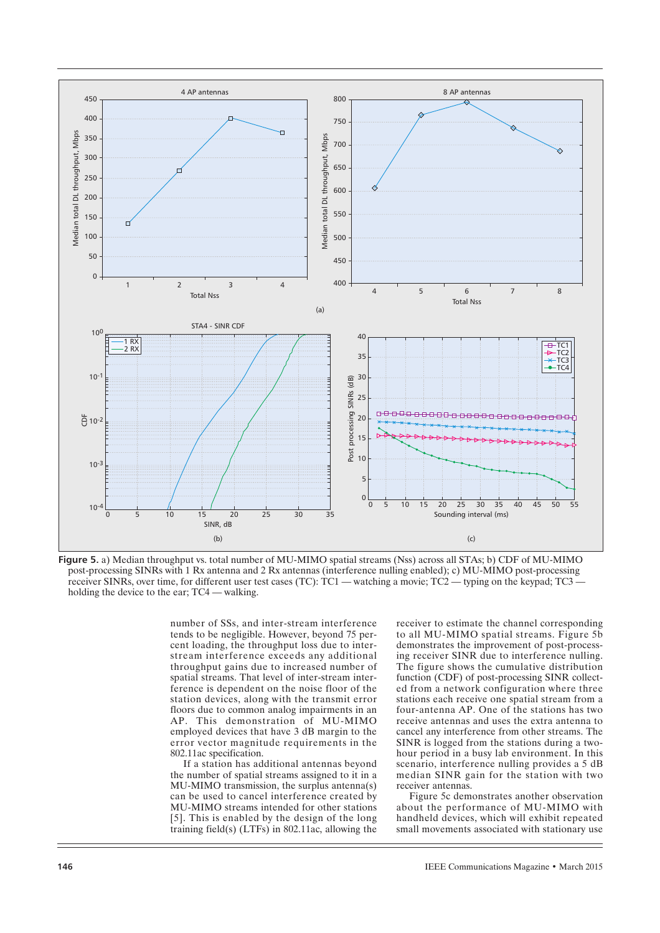

**Figure 5.** a) Median throughput vs. total number of MU-MIMO spatial streams (Nss) across all STAs; b) CDF of MU-MIMO post-processing SINRs with 1 Rx antenna and 2 Rx antennas (interference nulling enabled); c) MU-MIMO post-processing receiver SINRs, over time, for different user test cases (TC): TC1 — watching a movie; TC2 — typing on the keypad; TC3 holding the device to the ear; TC4 — walking.

number of SSs, and inter-stream interference tends to be negligible. However, beyond 75 percent loading, the throughput loss due to interstream interference exceeds any additional throughput gains due to increased number of spatial streams. That level of inter-stream interference is dependent on the noise floor of the station devices, along with the transmit error floors due to common analog impairments in an AP. This demonstration of MU-MIMO employed devices that have 3 dB margin to the error vector magnitude requirements in the 802.11ac specification.

If a station has additional antennas beyond the number of spatial streams assigned to it in a MU-MIMO transmission, the surplus antenna(s) can be used to cancel interference created by MU-MIMO streams intended for other stations [5]. This is enabled by the design of the long training field(s) (LTFs) in 802.11ac, allowing the receiver to estimate the channel corresponding to all MU-MIMO spatial streams. Figure 5b demonstrates the improvement of post-processing receiver SINR due to interference nulling. The figure shows the cumulative distribution function (CDF) of post-processing SINR collected from a network configuration where three stations each receive one spatial stream from a four-antenna AP. One of the stations has two receive antennas and uses the extra antenna to cancel any interference from other streams. The SINR is logged from the stations during a twohour period in a busy lab environment. In this scenario, interference nulling provides a 5 dB median SINR gain for the station with two receiver antennas.

Figure 5c demonstrates another observation about the performance of MU-MIMO with handheld devices, which will exhibit repeated small movements associated with stationary use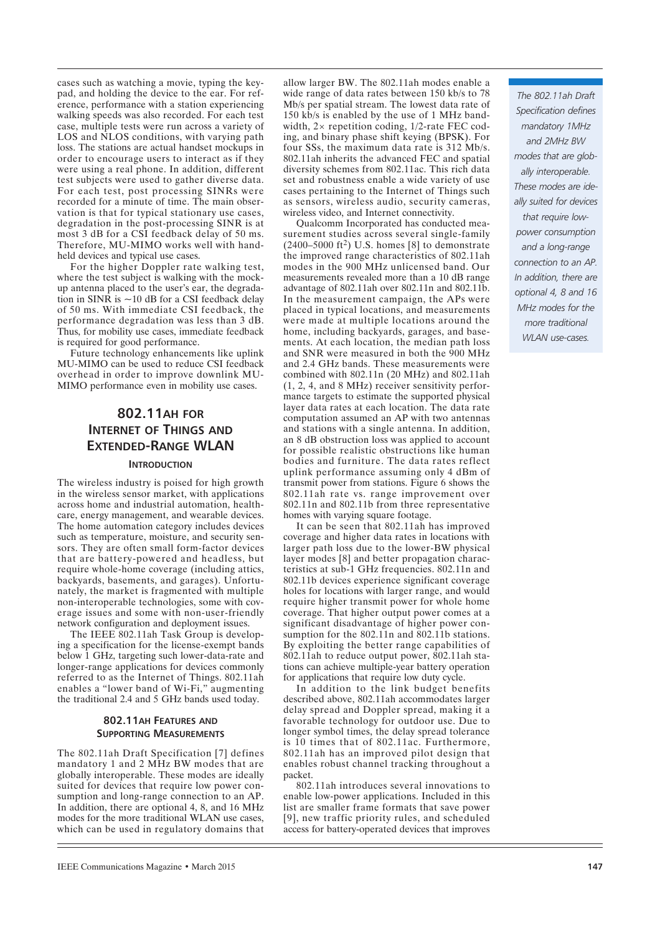cases such as watching a movie, typing the keypad, and holding the device to the ear. For reference, performance with a station experiencing walking speeds was also recorded. For each test case, multiple tests were run across a variety of LOS and NLOS conditions, with varying path loss. The stations are actual handset mockups in order to encourage users to interact as if they were using a real phone. In addition, different test subjects were used to gather diverse data. For each test, post processing SINRs were recorded for a minute of time. The main observation is that for typical stationary use cases, degradation in the post-processing SINR is at most 3 dB for a CSI feedback delay of 50 ms. Therefore, MU-MIMO works well with handheld devices and typical use cases.

For the higher Doppler rate walking test, where the test subject is walking with the mockup antenna placed to the user's ear, the degradation in SINR is  $\sim$ 10 dB for a CSI feedback delay of 50 ms. With immediate CSI feedback, the performance degradation was less than 3 dB. Thus, for mobility use cases, immediate feedback is required for good performance.

Future technology enhancements like uplink MU-MIMO can be used to reduce CSI feedback overhead in order to improve downlink MU-MIMO performance even in mobility use cases.

# **802.11AH FOR INTERNET OF THINGS AND EXTENDED-RANGE WLAN**

# **INTRODUCTION**

The wireless industry is poised for high growth in the wireless sensor market, with applications across home and industrial automation, healthcare, energy management, and wearable devices. The home automation category includes devices such as temperature, moisture, and security sensors. They are often small form-factor devices that are battery-powered and headless, but require whole-home coverage (including attics, backyards, basements, and garages). Unfortunately, the market is fragmented with multiple non-interoperable technologies, some with coverage issues and some with non-user-friendly network configuration and deployment issues.

The IEEE 802.11ah Task Group is developing a specification for the license-exempt bands below 1 GHz, targeting such lower-data-rate and longer-range applications for devices commonly referred to as the Internet of Things. 802.11ah enables a "lower band of Wi-Fi," augmenting the traditional 2.4 and 5 GHz bands used today.

# **802.11AH FEATURES AND SUPPORTING MEASUREMENTS**

The 802.11ah Draft Specification [7] defines mandatory 1 and 2 MHz BW modes that are globally interoperable. These modes are ideally suited for devices that require low power consumption and long-range connection to an AP. In addition, there are optional 4, 8, and 16 MHz modes for the more traditional WLAN use cases, which can be used in regulatory domains that allow larger BW. The 802.11ah modes enable a wide range of data rates between 150 kb/s to 78 Mb/s per spatial stream. The lowest data rate of 150 kb/s is enabled by the use of 1 MHz bandwidth, 2× repetition coding, 1/2-rate FEC coding, and binary phase shift keying (BPSK). For four SSs, the maximum data rate is 312 Mb/s. 802.11ah inherits the advanced FEC and spatial diversity schemes from 802.11ac. This rich data set and robustness enable a wide variety of use cases pertaining to the Internet of Things such as sensors, wireless audio, security cameras, wireless video, and Internet connectivity.

Qualcomm Incorporated has conducted measurement studies across several single-family  $(2400-5000 \text{ ft}^2)$  U.S. homes [8] to demonstrate the improved range characteristics of 802.11ah modes in the 900 MHz unlicensed band. Our measurements revealed more than a 10 dB range advantage of 802.11ah over 802.11n and 802.11b. In the measurement campaign, the APs were placed in typical locations, and measurements were made at multiple locations around the home, including backyards, garages, and basements. At each location, the median path loss and SNR were measured in both the 900 MHz and 2.4 GHz bands. These measurements were combined with 802.11n (20 MHz) and 802.11ah (1, 2, 4, and 8 MHz) receiver sensitivity performance targets to estimate the supported physical layer data rates at each location. The data rate computation assumed an AP with two antennas and stations with a single antenna. In addition, an 8 dB obstruction loss was applied to account for possible realistic obstructions like human bodies and furniture. The data rates reflect uplink performance assuming only 4 dBm of transmit power from stations. Figure 6 shows the 802.11ah rate vs. range improvement over 802.11n and 802.11b from three representative homes with varying square footage.

It can be seen that 802.11ah has improved coverage and higher data rates in locations with larger path loss due to the lower-BW physical layer modes [8] and better propagation characteristics at sub-1 GHz frequencies. 802.11n and 802.11b devices experience significant coverage holes for locations with larger range, and would require higher transmit power for whole home coverage. That higher output power comes at a significant disadvantage of higher power consumption for the 802.11n and 802.11b stations. By exploiting the better range capabilities of 802.11ah to reduce output power, 802.11ah stations can achieve multiple-year battery operation for applications that require low duty cycle.

In addition to the link budget benefits described above, 802.11ah accommodates larger delay spread and Doppler spread, making it a favorable technology for outdoor use. Due to longer symbol times, the delay spread tolerance is 10 times that of 802.11ac. Furthermore, 802.11ah has an improved pilot design that enables robust channel tracking throughout a packet.

802.11ah introduces several innovations to enable low-power applications. Included in this list are smaller frame formats that save power [9], new traffic priority rules, and scheduled access for battery-operated devices that improves

*The 802.11ah Draft Specification defines mandatory 1MHz and 2MHz BW modes that are globally interoperable. These modes are ideally suited for devices that require lowpower consumption and a long-range connection to an AP. In addition, there are optional 4, 8 and 16 MHz modes for the more traditional WLAN use-cases.*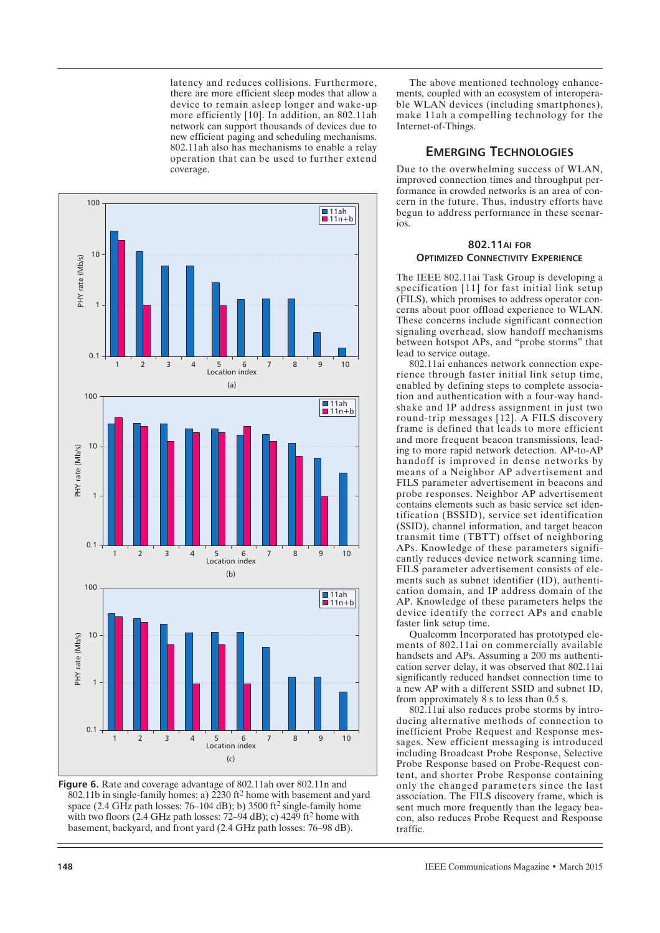latency and reduces collisions. Furthermore, there are more efficient sleep modes that allow a device to remain asleep longer and wake-up more efficiently [10]. In addition, an 802.11ah network can support thousands of devices due to new efficient paging and scheduling mechanisms. 802.11ah also has mechanisms to enable a relay operation that can be used to further extend coverage.



**Figure 6.** Rate and coverage advantage of 802.11ah over 802.11n and 802.11b in single-family homes: a) 2230 ft2 home with basement and yard space (2.4 GHz path losses: 76–104 dB); b) 3500 ft<sup>2</sup> single-family home with two floors  $(2.4 \text{ GHz path losses: } 72-94 \text{ dB})$ ; c)  $4249 \text{ ft}^2$  home with basement, backyard, and front yard (2.4 GHz path losses: 76–98 dB).

The above mentioned technology enhancements, coupled with an ecosystem of interoperable WLAN devices (including smartphones), make 11ah a compelling technology for the Internet-of-Things.

# **EMERGING TECHNOLOGIES**

Due to the overwhelming success of WLAN, improved connection times and throughput performance in crowded networks is an area of concern in the future. Thus, industry efforts have begun to address performance in these scenarios.

# **802.11AI FOR OPTIMIZED CONNECTIVITY EXPERIENCE**

The IEEE 802.11ai Task Group is developing a specification [11] for fast initial link setup (FILS), which promises to address operator concerns about poor offload experience to WLAN. These concerns include significant connection signaling overhead, slow handoff mechanisms between hotspot APs, and "probe storms" that lead to service outage.

802.11ai enhances network connection experience through faster initial link setup time, enabled by defining steps to complete association and authentication with a four-way handshake and IP address assignment in just two round-trip messages [12]. A FILS discovery frame is defined that leads to more efficient and more frequent beacon transmissions, leading to more rapid network detection. AP-to-AP handoff is improved in dense networks by means of a Neighbor AP advertisement and FILS parameter advertisement in beacons and probe responses. Neighbor AP advertisement contains elements such as basic service set identification (BSSID), service set identification (SSID), channel information, and target beacon transmit time (TBTT) offset of neighboring APs. Knowledge of these parameters significantly reduces device network scanning time. FILS parameter advertisement consists of elements such as subnet identifier (ID), authentication domain, and IP address domain of the AP. Knowledge of these parameters helps the device identify the correct APs and enable faster link setup time.

Qualcomm Incorporated has prototyped elements of 802.11ai on commercially available handsets and APs. Assuming a 200 ms authentication server delay, it was observed that 802.11ai significantly reduced handset connection time to a new AP with a different SSID and subnet ID, from approximately 8 s to less than 0.5 s.

802.11ai also reduces probe storms by introducing alternative methods of connection to inefficient Probe Request and Response messages. New efficient messaging is introduced including Broadcast Probe Response, Selective Probe Response based on Probe-Request content, and shorter Probe Response containing only the changed parameters since the last association. The FILS discovery frame, which is sent much more frequently than the legacy beacon, also reduces Probe Request and Response traffic.